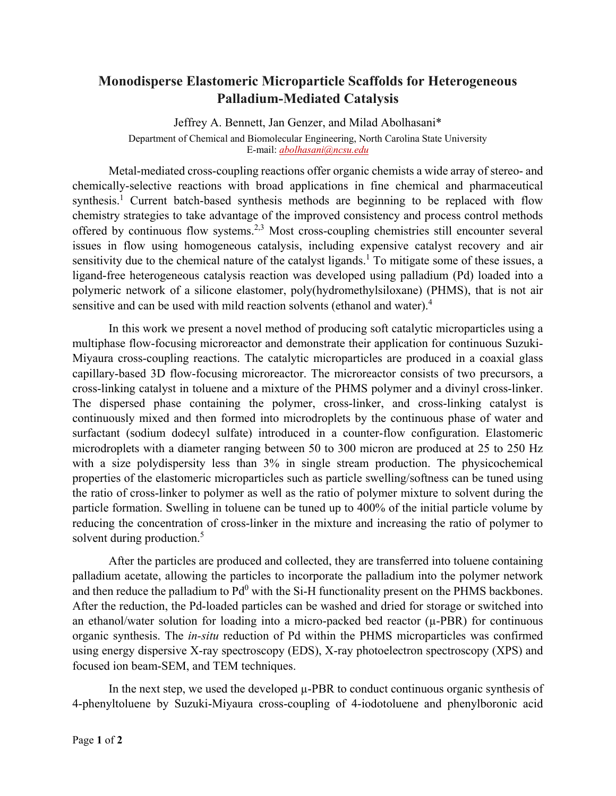## **Monodisperse Elastomeric Microparticle Scaffolds for Heterogeneous Palladium-Mediated Catalysis**

Jeffrey A. Bennett, Jan Genzer, and Milad Abolhasani\* Department of Chemical and Biomolecular Engineering, North Carolina State University E-mail: *[abolhasani@ncsu.edu](mailto:abolhasani@ncsu.edu)*

Metal-mediated cross-coupling reactions offer organic chemists a wide array of stereo- and chemically-selective reactions with broad applications in fine chemical and pharmaceutical synthesis.<sup>1</sup> Current batch-based synthesis methods are beginning to be replaced with flow chemistry strategies to take advantage of the improved consistency and process control methods offered by continuous flow systems.<sup>2,3</sup> Most cross-coupling chemistries still encounter several issues in flow using homogeneous catalysis, including expensive catalyst recovery and air sensitivity due to the chemical nature of the catalyst ligands.<sup>1</sup> To mitigate some of these issues, a ligand-free heterogeneous catalysis reaction was developed using palladium (Pd) loaded into a polymeric network of a silicone elastomer, poly(hydromethylsiloxane) (PHMS), that is not air sensitive and can be used with mild reaction solvents (ethanol and water).<sup>4</sup>

In this work we present a novel method of producing soft catalytic microparticles using a multiphase flow-focusing microreactor and demonstrate their application for continuous Suzuki-Miyaura cross-coupling reactions. The catalytic microparticles are produced in a coaxial glass capillary-based 3D flow-focusing microreactor. The microreactor consists of two precursors, a cross-linking catalyst in toluene and a mixture of the PHMS polymer and a divinyl cross-linker. The dispersed phase containing the polymer, cross-linker, and cross-linking catalyst is continuously mixed and then formed into microdroplets by the continuous phase of water and surfactant (sodium dodecyl sulfate) introduced in a counter-flow configuration. Elastomeric microdroplets with a diameter ranging between 50 to 300 micron are produced at 25 to 250 Hz with a size polydispersity less than 3% in single stream production. The physicochemical properties of the elastomeric microparticles such as particle swelling/softness can be tuned using the ratio of cross-linker to polymer as well as the ratio of polymer mixture to solvent during the particle formation. Swelling in toluene can be tuned up to 400% of the initial particle volume by reducing the concentration of cross-linker in the mixture and increasing the ratio of polymer to solvent during production.<sup>5</sup>

After the particles are produced and collected, they are transferred into toluene containing palladium acetate, allowing the particles to incorporate the palladium into the polymer network and then reduce the palladium to  $Pd^0$  with the Si-H functionality present on the PHMS backbones. After the reduction, the Pd-loaded particles can be washed and dried for storage or switched into an ethanol/water solution for loading into a micro-packed bed reactor  $(\mu$ -PBR) for continuous organic synthesis. The *in-situ* reduction of Pd within the PHMS microparticles was confirmed using energy dispersive X-ray spectroscopy (EDS), X-ray photoelectron spectroscopy (XPS) and focused ion beam-SEM, and TEM techniques.

In the next step, we used the developed  $\mu$ -PBR to conduct continuous organic synthesis of 4-phenyltoluene by Suzuki-Miyaura cross-coupling of 4-iodotoluene and phenylboronic acid